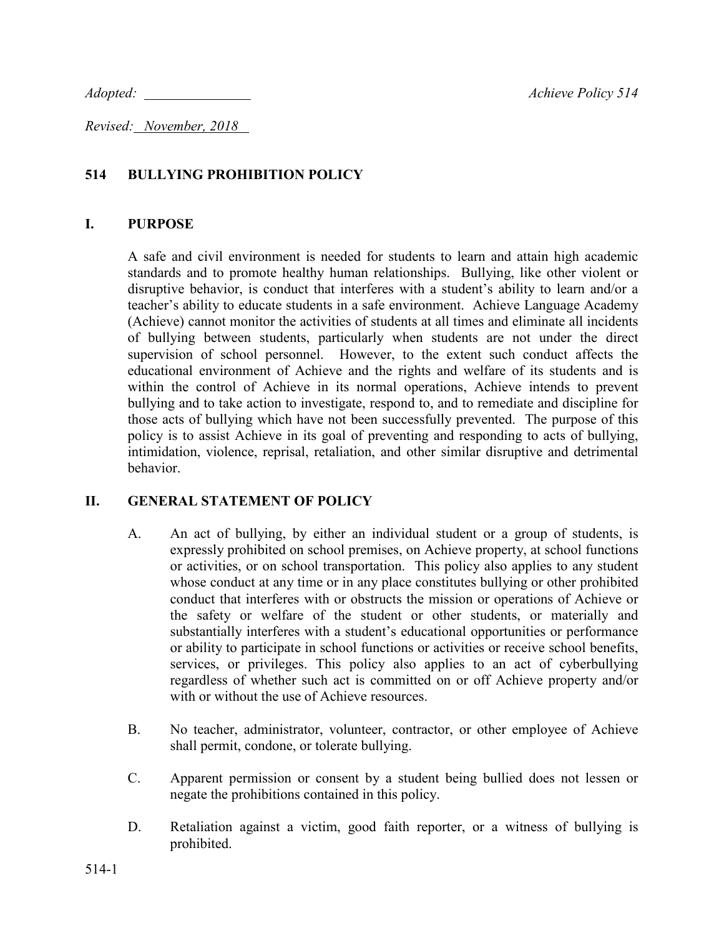*Adopted:* <u>Achieve Policy 514</u>

*Revised: November, 2018* 

## **514 BULLYING PROHIBITION POLICY**

#### **I. PURPOSE**

A safe and civil environment is needed for students to learn and attain high academic standards and to promote healthy human relationships. Bullying, like other violent or disruptive behavior, is conduct that interferes with a student's ability to learn and/or a teacher's ability to educate students in a safe environment. Achieve Language Academy (Achieve) cannot monitor the activities of students at all times and eliminate all incidents of bullying between students, particularly when students are not under the direct supervision of school personnel. However, to the extent such conduct affects the educational environment of Achieve and the rights and welfare of its students and is within the control of Achieve in its normal operations, Achieve intends to prevent bullying and to take action to investigate, respond to, and to remediate and discipline for those acts of bullying which have not been successfully prevented. The purpose of this policy is to assist Achieve in its goal of preventing and responding to acts of bullying, intimidation, violence, reprisal, retaliation, and other similar disruptive and detrimental behavior.

### **II. GENERAL STATEMENT OF POLICY**

- A. An act of bullying, by either an individual student or a group of students, is expressly prohibited on school premises, on Achieve property, at school functions or activities, or on school transportation. This policy also applies to any student whose conduct at any time or in any place constitutes bullying or other prohibited conduct that interferes with or obstructs the mission or operations of Achieve or the safety or welfare of the student or other students, or materially and substantially interferes with a student's educational opportunities or performance or ability to participate in school functions or activities or receive school benefits, services, or privileges. This policy also applies to an act of cyberbullying regardless of whether such act is committed on or off Achieve property and/or with or without the use of Achieve resources.
- B. No teacher, administrator, volunteer, contractor, or other employee of Achieve shall permit, condone, or tolerate bullying.
- C. Apparent permission or consent by a student being bullied does not lessen or negate the prohibitions contained in this policy.
- D. Retaliation against a victim, good faith reporter, or a witness of bullying is prohibited.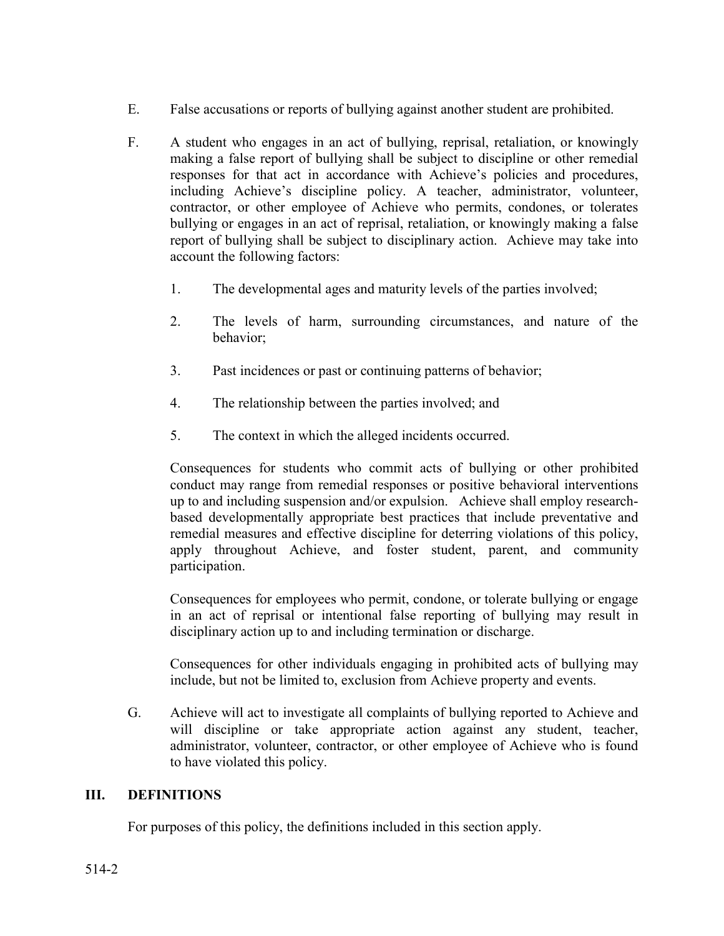- E. False accusations or reports of bullying against another student are prohibited.
- F. A student who engages in an act of bullying, reprisal, retaliation, or knowingly making a false report of bullying shall be subject to discipline or other remedial responses for that act in accordance with Achieve's policies and procedures, including Achieve's discipline policy. A teacher, administrator, volunteer, contractor, or other employee of Achieve who permits, condones, or tolerates bullying or engages in an act of reprisal, retaliation, or knowingly making a false report of bullying shall be subject to disciplinary action. Achieve may take into account the following factors:
	- 1. The developmental ages and maturity levels of the parties involved;
	- 2. The levels of harm, surrounding circumstances, and nature of the behavior;
	- 3. Past incidences or past or continuing patterns of behavior;
	- 4. The relationship between the parties involved; and
	- 5. The context in which the alleged incidents occurred.

Consequences for students who commit acts of bullying or other prohibited conduct may range from remedial responses or positive behavioral interventions up to and including suspension and/or expulsion. Achieve shall employ researchbased developmentally appropriate best practices that include preventative and remedial measures and effective discipline for deterring violations of this policy, apply throughout Achieve, and foster student, parent, and community participation.

Consequences for employees who permit, condone, or tolerate bullying or engage in an act of reprisal or intentional false reporting of bullying may result in disciplinary action up to and including termination or discharge.

Consequences for other individuals engaging in prohibited acts of bullying may include, but not be limited to, exclusion from Achieve property and events.

G. Achieve will act to investigate all complaints of bullying reported to Achieve and will discipline or take appropriate action against any student, teacher, administrator, volunteer, contractor, or other employee of Achieve who is found to have violated this policy.

### **III. DEFINITIONS**

For purposes of this policy, the definitions included in this section apply.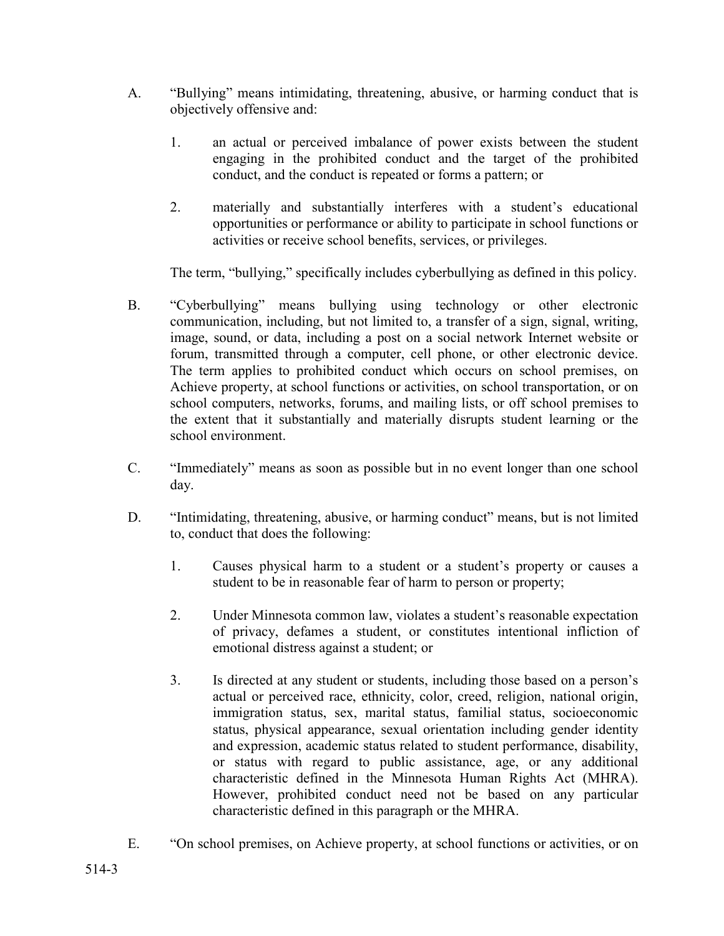- A. "Bullying" means intimidating, threatening, abusive, or harming conduct that is objectively offensive and:
	- 1. an actual or perceived imbalance of power exists between the student engaging in the prohibited conduct and the target of the prohibited conduct, and the conduct is repeated or forms a pattern; or
	- 2. materially and substantially interferes with a student's educational opportunities or performance or ability to participate in school functions or activities or receive school benefits, services, or privileges.

The term, "bullying," specifically includes cyberbullying as defined in this policy.

- B. "Cyberbullying" means bullying using technology or other electronic communication, including, but not limited to, a transfer of a sign, signal, writing, image, sound, or data, including a post on a social network Internet website or forum, transmitted through a computer, cell phone, or other electronic device. The term applies to prohibited conduct which occurs on school premises, on Achieve property, at school functions or activities, on school transportation, or on school computers, networks, forums, and mailing lists, or off school premises to the extent that it substantially and materially disrupts student learning or the school environment.
- C. "Immediately" means as soon as possible but in no event longer than one school day.
- D. "Intimidating, threatening, abusive, or harming conduct" means, but is not limited to, conduct that does the following:
	- 1. Causes physical harm to a student or a student's property or causes a student to be in reasonable fear of harm to person or property;
	- 2. Under Minnesota common law, violates a student's reasonable expectation of privacy, defames a student, or constitutes intentional infliction of emotional distress against a student; or
	- 3. Is directed at any student or students, including those based on a person's actual or perceived race, ethnicity, color, creed, religion, national origin, immigration status, sex, marital status, familial status, socioeconomic status, physical appearance, sexual orientation including gender identity and expression, academic status related to student performance, disability, or status with regard to public assistance, age, or any additional characteristic defined in the Minnesota Human Rights Act (MHRA). However, prohibited conduct need not be based on any particular characteristic defined in this paragraph or the MHRA.
- E. "On school premises, on Achieve property, at school functions or activities, or on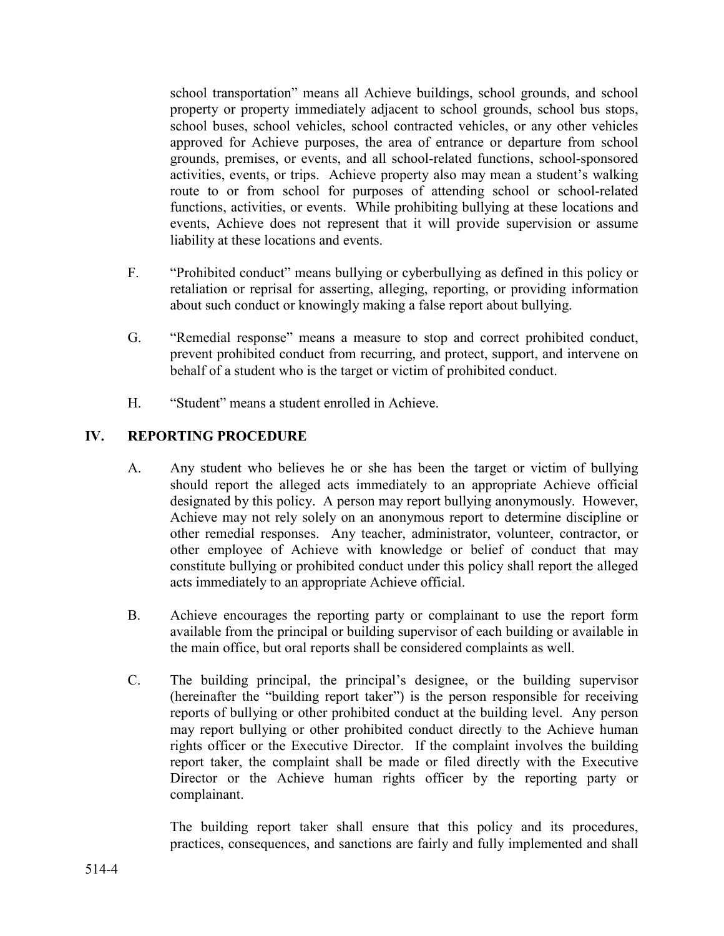school transportation" means all Achieve buildings, school grounds, and school property or property immediately adjacent to school grounds, school bus stops, school buses, school vehicles, school contracted vehicles, or any other vehicles approved for Achieve purposes, the area of entrance or departure from school grounds, premises, or events, and all school-related functions, school-sponsored activities, events, or trips. Achieve property also may mean a student's walking route to or from school for purposes of attending school or school-related functions, activities, or events. While prohibiting bullying at these locations and events, Achieve does not represent that it will provide supervision or assume liability at these locations and events.

- F. "Prohibited conduct" means bullying or cyberbullying as defined in this policy or retaliation or reprisal for asserting, alleging, reporting, or providing information about such conduct or knowingly making a false report about bullying.
- G. "Remedial response" means a measure to stop and correct prohibited conduct, prevent prohibited conduct from recurring, and protect, support, and intervene on behalf of a student who is the target or victim of prohibited conduct.
- H. "Student" means a student enrolled in Achieve.

## **IV. REPORTING PROCEDURE**

- A. Any student who believes he or she has been the target or victim of bullying should report the alleged acts immediately to an appropriate Achieve official designated by this policy. A person may report bullying anonymously. However, Achieve may not rely solely on an anonymous report to determine discipline or other remedial responses. Any teacher, administrator, volunteer, contractor, or other employee of Achieve with knowledge or belief of conduct that may constitute bullying or prohibited conduct under this policy shall report the alleged acts immediately to an appropriate Achieve official.
- B. Achieve encourages the reporting party or complainant to use the report form available from the principal or building supervisor of each building or available in the main office, but oral reports shall be considered complaints as well.
- C. The building principal, the principal's designee, or the building supervisor (hereinafter the "building report taker") is the person responsible for receiving reports of bullying or other prohibited conduct at the building level. Any person may report bullying or other prohibited conduct directly to the Achieve human rights officer or the Executive Director. If the complaint involves the building report taker, the complaint shall be made or filed directly with the Executive Director or the Achieve human rights officer by the reporting party or complainant.

The building report taker shall ensure that this policy and its procedures, practices, consequences, and sanctions are fairly and fully implemented and shall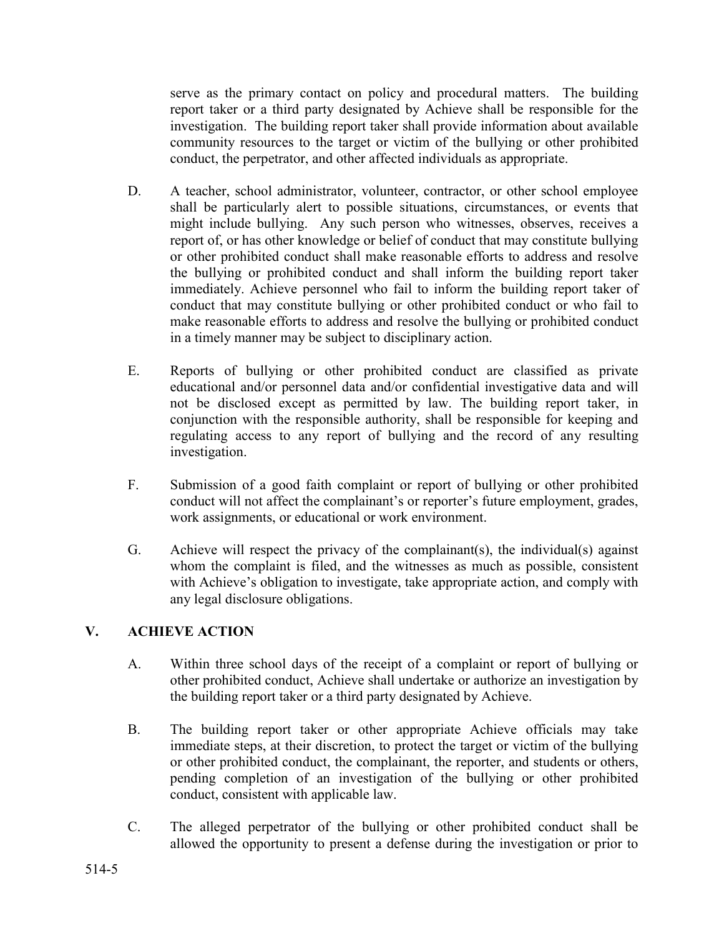serve as the primary contact on policy and procedural matters. The building report taker or a third party designated by Achieve shall be responsible for the investigation. The building report taker shall provide information about available community resources to the target or victim of the bullying or other prohibited conduct, the perpetrator, and other affected individuals as appropriate.

- D. A teacher, school administrator, volunteer, contractor, or other school employee shall be particularly alert to possible situations, circumstances, or events that might include bullying. Any such person who witnesses, observes, receives a report of, or has other knowledge or belief of conduct that may constitute bullying or other prohibited conduct shall make reasonable efforts to address and resolve the bullying or prohibited conduct and shall inform the building report taker immediately. Achieve personnel who fail to inform the building report taker of conduct that may constitute bullying or other prohibited conduct or who fail to make reasonable efforts to address and resolve the bullying or prohibited conduct in a timely manner may be subject to disciplinary action.
- E. Reports of bullying or other prohibited conduct are classified as private educational and/or personnel data and/or confidential investigative data and will not be disclosed except as permitted by law. The building report taker, in conjunction with the responsible authority, shall be responsible for keeping and regulating access to any report of bullying and the record of any resulting investigation.
- F. Submission of a good faith complaint or report of bullying or other prohibited conduct will not affect the complainant's or reporter's future employment, grades, work assignments, or educational or work environment.
- G. Achieve will respect the privacy of the complainant(s), the individual(s) against whom the complaint is filed, and the witnesses as much as possible, consistent with Achieve's obligation to investigate, take appropriate action, and comply with any legal disclosure obligations.

# **V. ACHIEVE ACTION**

- A. Within three school days of the receipt of a complaint or report of bullying or other prohibited conduct, Achieve shall undertake or authorize an investigation by the building report taker or a third party designated by Achieve.
- B. The building report taker or other appropriate Achieve officials may take immediate steps, at their discretion, to protect the target or victim of the bullying or other prohibited conduct, the complainant, the reporter, and students or others, pending completion of an investigation of the bullying or other prohibited conduct, consistent with applicable law.
- C. The alleged perpetrator of the bullying or other prohibited conduct shall be allowed the opportunity to present a defense during the investigation or prior to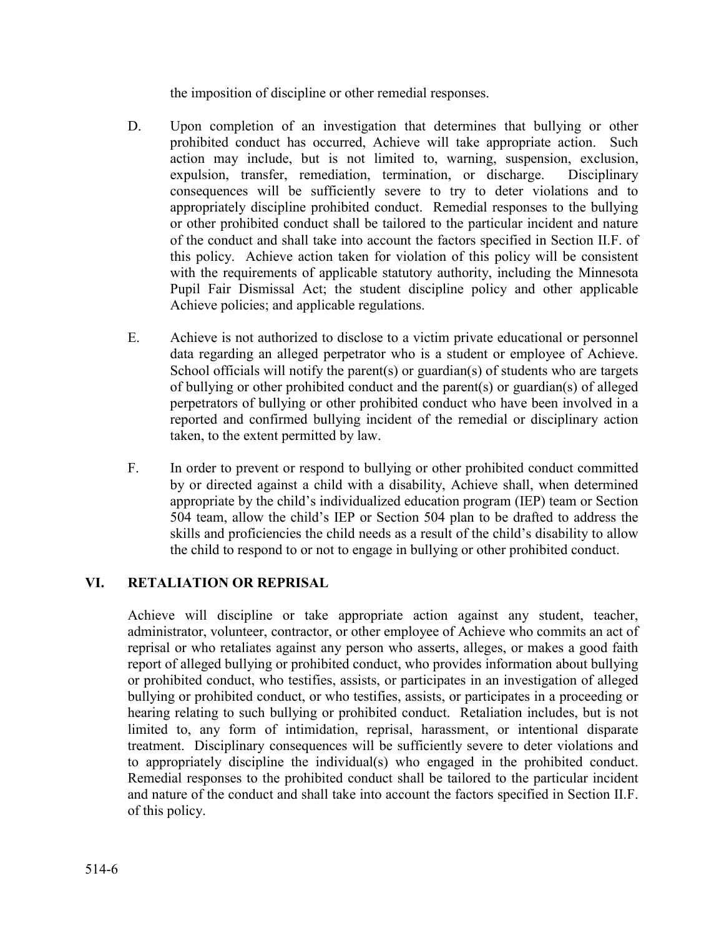the imposition of discipline or other remedial responses.

- D. Upon completion of an investigation that determines that bullying or other prohibited conduct has occurred, Achieve will take appropriate action. Such action may include, but is not limited to, warning, suspension, exclusion, expulsion, transfer, remediation, termination, or discharge. Disciplinary consequences will be sufficiently severe to try to deter violations and to appropriately discipline prohibited conduct. Remedial responses to the bullying or other prohibited conduct shall be tailored to the particular incident and nature of the conduct and shall take into account the factors specified in Section II.F. of this policy. Achieve action taken for violation of this policy will be consistent with the requirements of applicable statutory authority, including the Minnesota Pupil Fair Dismissal Act; the student discipline policy and other applicable Achieve policies; and applicable regulations.
- E. Achieve is not authorized to disclose to a victim private educational or personnel data regarding an alleged perpetrator who is a student or employee of Achieve. School officials will notify the parent(s) or guardian(s) of students who are targets of bullying or other prohibited conduct and the parent(s) or guardian(s) of alleged perpetrators of bullying or other prohibited conduct who have been involved in a reported and confirmed bullying incident of the remedial or disciplinary action taken, to the extent permitted by law.
- F. In order to prevent or respond to bullying or other prohibited conduct committed by or directed against a child with a disability, Achieve shall, when determined appropriate by the child's individualized education program (IEP) team or Section 504 team, allow the child's IEP or Section 504 plan to be drafted to address the skills and proficiencies the child needs as a result of the child's disability to allow the child to respond to or not to engage in bullying or other prohibited conduct.

### **VI. RETALIATION OR REPRISAL**

Achieve will discipline or take appropriate action against any student, teacher, administrator, volunteer, contractor, or other employee of Achieve who commits an act of reprisal or who retaliates against any person who asserts, alleges, or makes a good faith report of alleged bullying or prohibited conduct, who provides information about bullying or prohibited conduct, who testifies, assists, or participates in an investigation of alleged bullying or prohibited conduct, or who testifies, assists, or participates in a proceeding or hearing relating to such bullying or prohibited conduct. Retaliation includes, but is not limited to, any form of intimidation, reprisal, harassment, or intentional disparate treatment. Disciplinary consequences will be sufficiently severe to deter violations and to appropriately discipline the individual(s) who engaged in the prohibited conduct. Remedial responses to the prohibited conduct shall be tailored to the particular incident and nature of the conduct and shall take into account the factors specified in Section II.F. of this policy.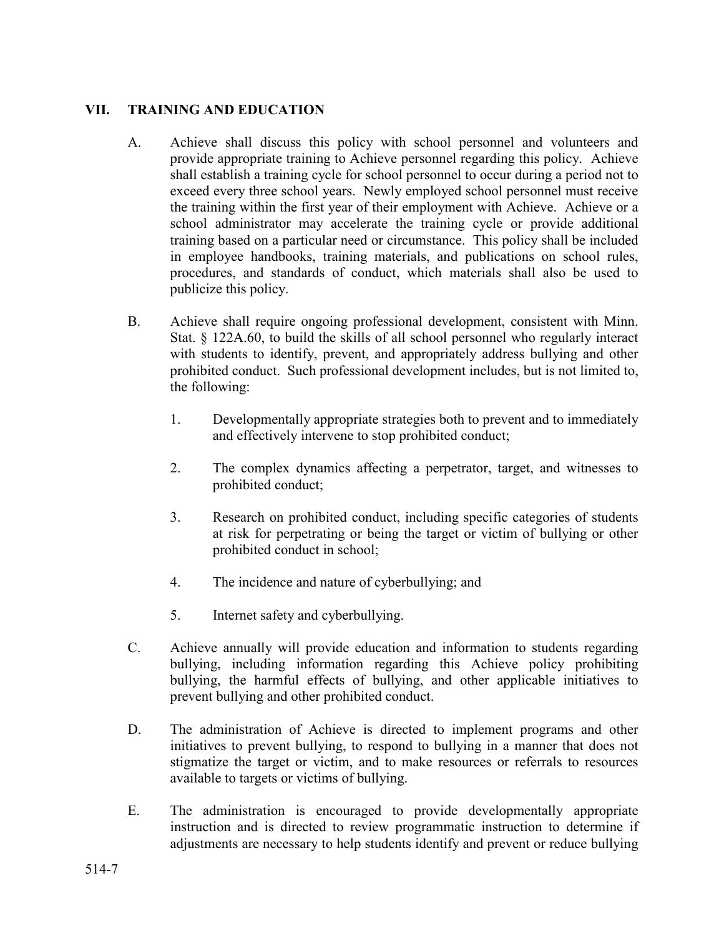### **VII. TRAINING AND EDUCATION**

- A. Achieve shall discuss this policy with school personnel and volunteers and provide appropriate training to Achieve personnel regarding this policy. Achieve shall establish a training cycle for school personnel to occur during a period not to exceed every three school years. Newly employed school personnel must receive the training within the first year of their employment with Achieve. Achieve or a school administrator may accelerate the training cycle or provide additional training based on a particular need or circumstance. This policy shall be included in employee handbooks, training materials, and publications on school rules, procedures, and standards of conduct, which materials shall also be used to publicize this policy.
- B. Achieve shall require ongoing professional development, consistent with Minn. Stat. § 122A.60, to build the skills of all school personnel who regularly interact with students to identify, prevent, and appropriately address bullying and other prohibited conduct. Such professional development includes, but is not limited to, the following:
	- 1. Developmentally appropriate strategies both to prevent and to immediately and effectively intervene to stop prohibited conduct;
	- 2. The complex dynamics affecting a perpetrator, target, and witnesses to prohibited conduct;
	- 3. Research on prohibited conduct, including specific categories of students at risk for perpetrating or being the target or victim of bullying or other prohibited conduct in school;
	- 4. The incidence and nature of cyberbullying; and
	- 5. Internet safety and cyberbullying.
- C. Achieve annually will provide education and information to students regarding bullying, including information regarding this Achieve policy prohibiting bullying, the harmful effects of bullying, and other applicable initiatives to prevent bullying and other prohibited conduct.
- D. The administration of Achieve is directed to implement programs and other initiatives to prevent bullying, to respond to bullying in a manner that does not stigmatize the target or victim, and to make resources or referrals to resources available to targets or victims of bullying.
- E. The administration is encouraged to provide developmentally appropriate instruction and is directed to review programmatic instruction to determine if adjustments are necessary to help students identify and prevent or reduce bullying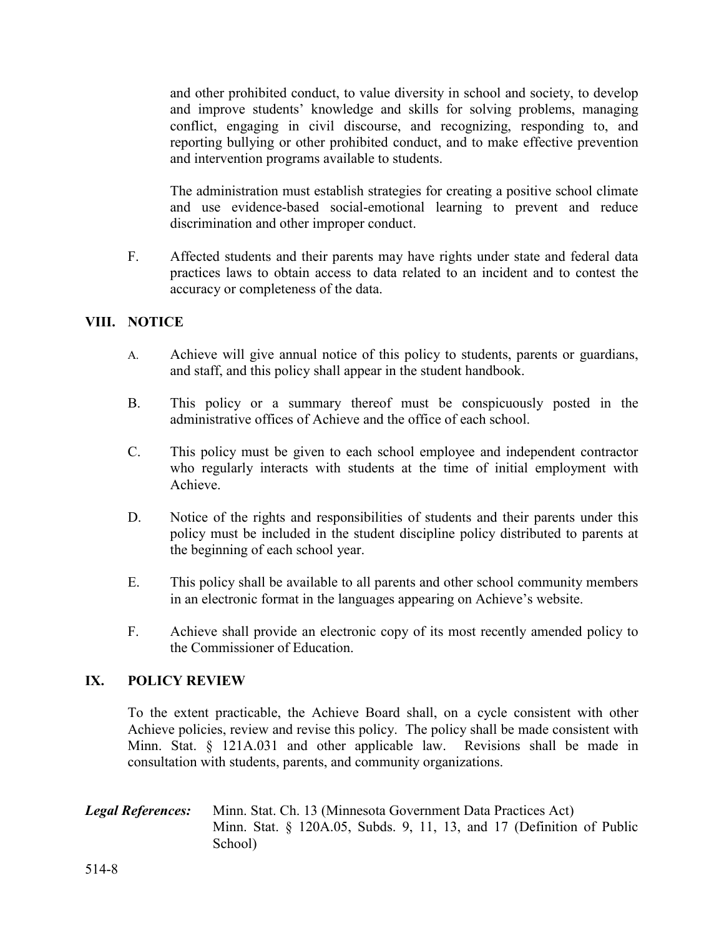and other prohibited conduct, to value diversity in school and society, to develop and improve students' knowledge and skills for solving problems, managing conflict, engaging in civil discourse, and recognizing, responding to, and reporting bullying or other prohibited conduct, and to make effective prevention and intervention programs available to students.

The administration must establish strategies for creating a positive school climate and use evidence-based social-emotional learning to prevent and reduce discrimination and other improper conduct.

F. Affected students and their parents may have rights under state and federal data practices laws to obtain access to data related to an incident and to contest the accuracy or completeness of the data.

### **VIII. NOTICE**

- A. Achieve will give annual notice of this policy to students, parents or guardians, and staff, and this policy shall appear in the student handbook.
- B. This policy or a summary thereof must be conspicuously posted in the administrative offices of Achieve and the office of each school.
- C. This policy must be given to each school employee and independent contractor who regularly interacts with students at the time of initial employment with Achieve.
- D. Notice of the rights and responsibilities of students and their parents under this policy must be included in the student discipline policy distributed to parents at the beginning of each school year.
- E. This policy shall be available to all parents and other school community members in an electronic format in the languages appearing on Achieve's website.
- F. Achieve shall provide an electronic copy of its most recently amended policy to the Commissioner of Education.

### **IX. POLICY REVIEW**

To the extent practicable, the Achieve Board shall, on a cycle consistent with other Achieve policies, review and revise this policy. The policy shall be made consistent with Minn. Stat. § 121A.031 and other applicable law. Revisions shall be made in consultation with students, parents, and community organizations.

#### *Legal References:* Minn. Stat. Ch. 13 (Minnesota Government Data Practices Act) Minn. Stat. § 120A.05, Subds. 9, 11, 13, and 17 (Definition of Public School)